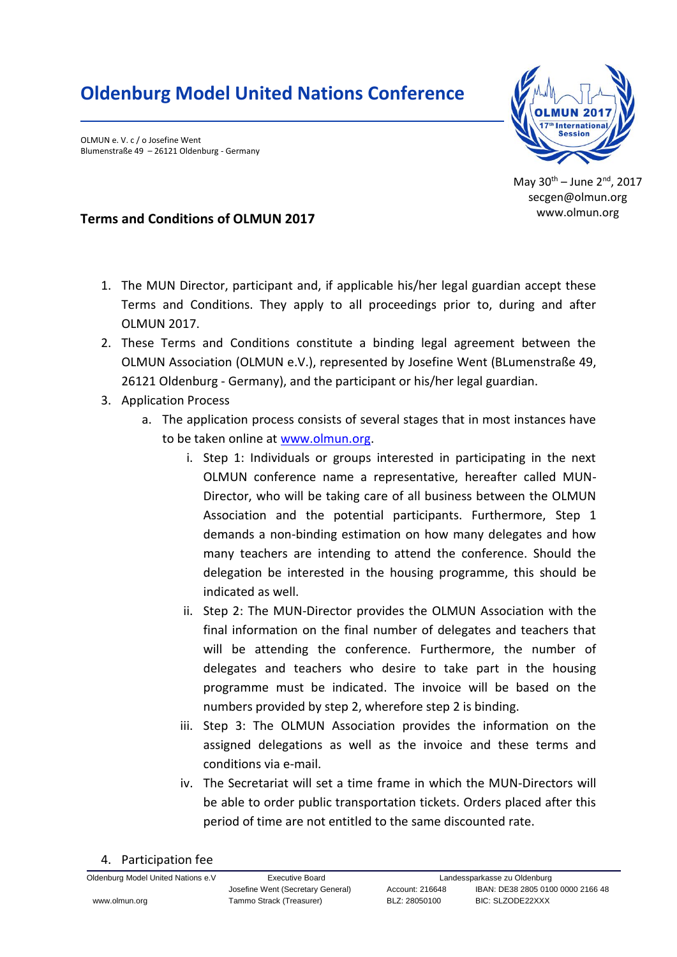## **Oldenburg Model United Nations Conference**

OLMUN e. V. c / o Josefine Went Blumenstraße 49 – 26121 Oldenburg - Germany



May  $30^{th}$  – June  $2^{nd}$ , 2017 secgen@olmun.org www.olmun.org

## **Terms and Conditions of OLMUN 2017**

- 1. The MUN Director, participant and, if applicable his/her legal guardian accept these Terms and Conditions. They apply to all proceedings prior to, during and after OLMUN 2017.
- 2. These Terms and Conditions constitute a binding legal agreement between the OLMUN Association (OLMUN e.V.), represented by Josefine Went (BLumenstraße 49, 26121 Oldenburg - Germany), and the participant or his/her legal guardian.
- 3. Application Process
	- a. The application process consists of several stages that in most instances have to be taken online at [www.olmun.org.](http://www.olmun.org/)
		- i. Step 1: Individuals or groups interested in participating in the next OLMUN conference name a representative, hereafter called MUN-Director, who will be taking care of all business between the OLMUN Association and the potential participants. Furthermore, Step 1 demands a non-binding estimation on how many delegates and how many teachers are intending to attend the conference. Should the delegation be interested in the housing programme, this should be indicated as well.
		- ii. Step 2: The MUN-Director provides the OLMUN Association with the final information on the final number of delegates and teachers that will be attending the conference. Furthermore, the number of delegates and teachers who desire to take part in the housing programme must be indicated. The invoice will be based on the numbers provided by step 2, wherefore step 2 is binding.
		- iii. Step 3: The OLMUN Association provides the information on the assigned delegations as well as the invoice and these terms and conditions via e-mail.
		- iv. The Secretariat will set a time frame in which the MUN-Directors will be able to order public transportation tickets. Orders placed after this period of time are not entitled to the same discounted rate.
- 4. Participation fee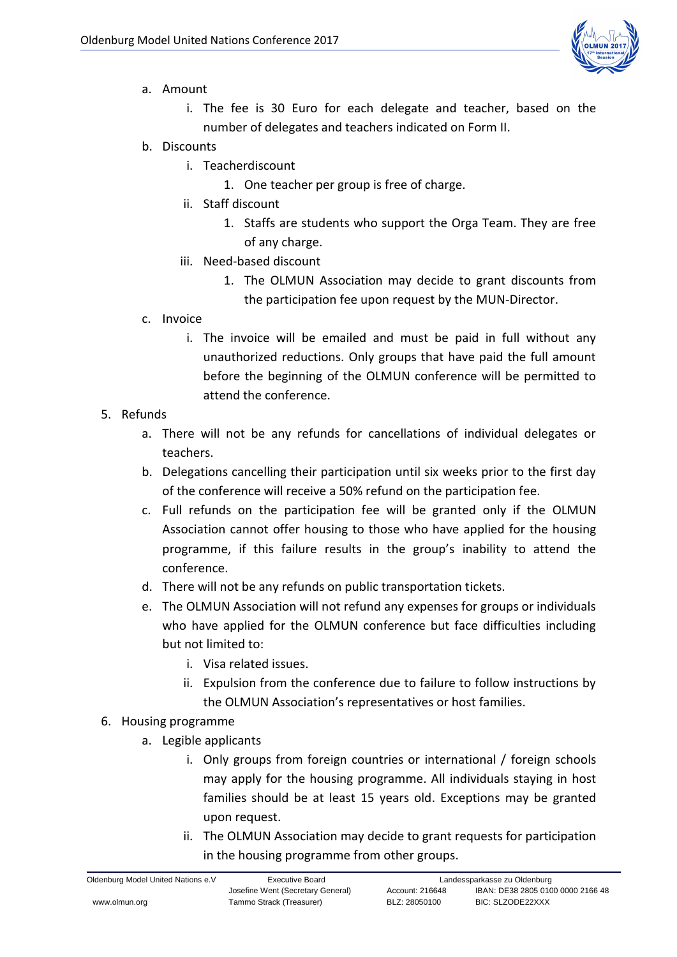

- a. Amount
	- i. The fee is 30 Euro for each delegate and teacher, based on the number of delegates and teachers indicated on Form II.
- b. Discounts
	- i. Teacherdiscount
		- 1. One teacher per group is free of charge.
	- ii. Staff discount
		- 1. Staffs are students who support the Orga Team. They are free of any charge.
	- iii. Need-based discount
		- 1. The OLMUN Association may decide to grant discounts from the participation fee upon request by the MUN-Director.
- c. Invoice
	- i. The invoice will be emailed and must be paid in full without any unauthorized reductions. Only groups that have paid the full amount before the beginning of the OLMUN conference will be permitted to attend the conference.
- 5. Refunds
	- a. There will not be any refunds for cancellations of individual delegates or teachers.
	- b. Delegations cancelling their participation until six weeks prior to the first day of the conference will receive a 50% refund on the participation fee.
	- c. Full refunds on the participation fee will be granted only if the OLMUN Association cannot offer housing to those who have applied for the housing programme, if this failure results in the group's inability to attend the conference.
	- d. There will not be any refunds on public transportation tickets.
	- e. The OLMUN Association will not refund any expenses for groups or individuals who have applied for the OLMUN conference but face difficulties including but not limited to:
		- i. Visa related issues.
		- ii. Expulsion from the conference due to failure to follow instructions by the OLMUN Association's representatives or host families.
- 6. Housing programme
	- a. Legible applicants
		- i. Only groups from foreign countries or international / foreign schools may apply for the housing programme. All individuals staying in host families should be at least 15 years old. Exceptions may be granted upon request.
		- ii. The OLMUN Association may decide to grant requests for participation in the housing programme from other groups.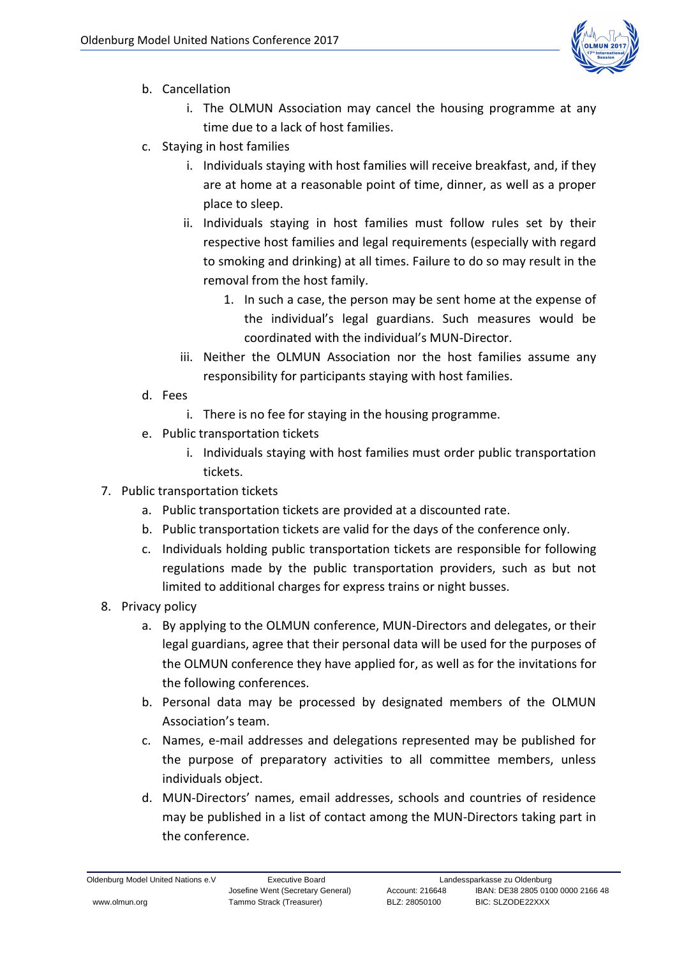

- b. Cancellation
	- i. The OLMUN Association may cancel the housing programme at any time due to a lack of host families.
- c. Staying in host families
	- i. Individuals staying with host families will receive breakfast, and, if they are at home at a reasonable point of time, dinner, as well as a proper place to sleep.
	- ii. Individuals staying in host families must follow rules set by their respective host families and legal requirements (especially with regard to smoking and drinking) at all times. Failure to do so may result in the removal from the host family.
		- 1. In such a case, the person may be sent home at the expense of the individual's legal guardians. Such measures would be coordinated with the individual's MUN-Director.
	- iii. Neither the OLMUN Association nor the host families assume any responsibility for participants staying with host families.
- d. Fees
	- i. There is no fee for staying in the housing programme.
- e. Public transportation tickets
	- i. Individuals staying with host families must order public transportation tickets.
- 7. Public transportation tickets
	- a. Public transportation tickets are provided at a discounted rate.
	- b. Public transportation tickets are valid for the days of the conference only.
	- c. Individuals holding public transportation tickets are responsible for following regulations made by the public transportation providers, such as but not limited to additional charges for express trains or night busses.
- 8. Privacy policy
	- a. By applying to the OLMUN conference, MUN-Directors and delegates, or their legal guardians, agree that their personal data will be used for the purposes of the OLMUN conference they have applied for, as well as for the invitations for the following conferences.
	- b. Personal data may be processed by designated members of the OLMUN Association's team.
	- c. Names, e-mail addresses and delegations represented may be published for the purpose of preparatory activities to all committee members, unless individuals object.
	- d. MUN-Directors' names, email addresses, schools and countries of residence may be published in a list of contact among the MUN-Directors taking part in the conference.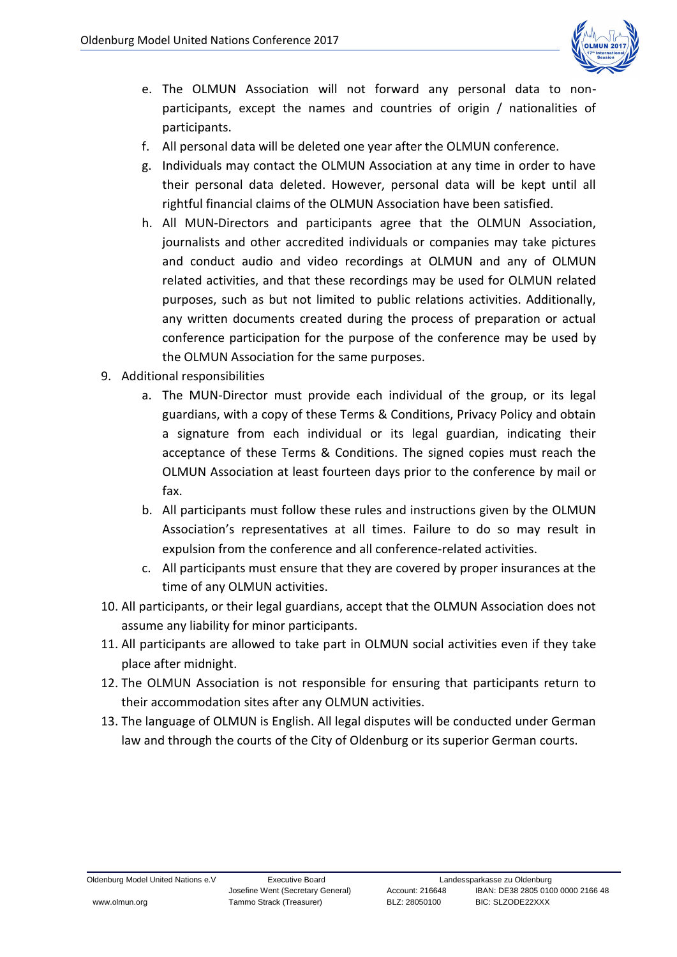

- e. The OLMUN Association will not forward any personal data to nonparticipants, except the names and countries of origin / nationalities of participants.
- f. All personal data will be deleted one year after the OLMUN conference.
- g. Individuals may contact the OLMUN Association at any time in order to have their personal data deleted. However, personal data will be kept until all rightful financial claims of the OLMUN Association have been satisfied.
- h. All MUN-Directors and participants agree that the OLMUN Association, journalists and other accredited individuals or companies may take pictures and conduct audio and video recordings at OLMUN and any of OLMUN related activities, and that these recordings may be used for OLMUN related purposes, such as but not limited to public relations activities. Additionally, any written documents created during the process of preparation or actual conference participation for the purpose of the conference may be used by the OLMUN Association for the same purposes.
- 9. Additional responsibilities
	- a. The MUN-Director must provide each individual of the group, or its legal guardians, with a copy of these Terms & Conditions, Privacy Policy and obtain a signature from each individual or its legal guardian, indicating their acceptance of these Terms & Conditions. The signed copies must reach the OLMUN Association at least fourteen days prior to the conference by mail or fax.
	- b. All participants must follow these rules and instructions given by the OLMUN Association's representatives at all times. Failure to do so may result in expulsion from the conference and all conference-related activities.
	- c. All participants must ensure that they are covered by proper insurances at the time of any OLMUN activities.
- 10. All participants, or their legal guardians, accept that the OLMUN Association does not assume any liability for minor participants.
- 11. All participants are allowed to take part in OLMUN social activities even if they take place after midnight.
- 12. The OLMUN Association is not responsible for ensuring that participants return to their accommodation sites after any OLMUN activities.
- 13. The language of OLMUN is English. All legal disputes will be conducted under German law and through the courts of the City of Oldenburg or its superior German courts.